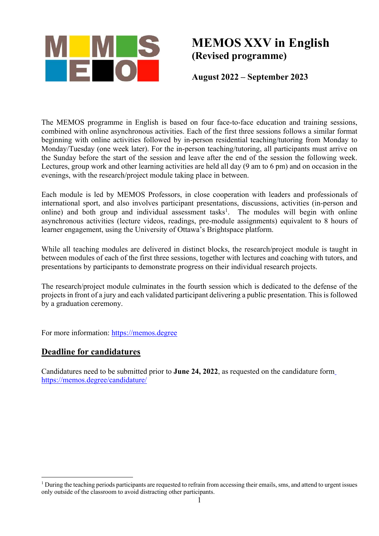

# **MEMOS XXV in English (Revised programme)**

**August 2022 – September 2023**

The MEMOS programme in English is based on four face-to-face education and training sessions, combined with online asynchronous activities. Each of the first three sessions follows a similar format beginning with online activities followed by in-person residential teaching/tutoring from Monday to Monday/Tuesday (one week later). For the in-person teaching/tutoring, all participants must arrive on the Sunday before the start of the session and leave after the end of the session the following week. Lectures, group work and other learning activities are held all day (9 am to 6 pm) and on occasion in the evenings, with the research/project module taking place in between.

Each module is led by MEMOS Professors, in close cooperation with leaders and professionals of international sport, and also involves participant presentations, discussions, activities (in-person and online) and both group and individual assessment tasks<sup>1</sup>. The modules will begin with online asynchronous activities (lecture videos, readings, pre-module assignments) equivalent to 8 hours of learner engagement, using the University of Ottawa's Brightspace platform.

While all teaching modules are delivered in distinct blocks, the research/project module is taught in between modules of each of the first three sessions, together with lectures and coaching with tutors, and presentations by participants to demonstrate progress on their individual research projects.

The research/project module culminates in the fourth session which is dedicated to the defense of the projects in front of a jury and each validated participant delivering a public presentation. This is followed by a graduation ceremony.

For more information: https://memos.degree

### **Deadline for candidatures**

Candidatures need to be submitted prior to **June 24, 2022**, as requested on the candidature form https://memos.degree/candidature/

 $1$  During the teaching periods participants are requested to refrain from accessing their emails, sms, and attend to urgent issues only outside of the classroom to avoid distracting other participants.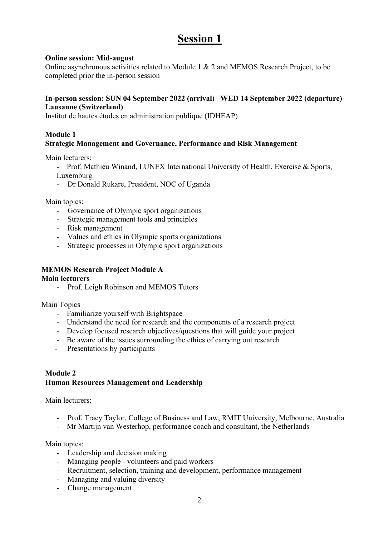## **Session 1**

#### **Online session: Mid-august**

Online asynchronous activities related to Module 1 & 2 and MEMOS Research Project, to be completed prior the in-person session

#### **In-person session: SUN 04 September 2022 (arrival) –WED 14 September 2022 (departure) Lausanne (Switzerland)**

Institut de hautes études en administration publique (IDHEAP)

#### **Module 1**

#### **Strategic Management and Governance, Performance and Risk Management**

Main lecturers:

- Prof. Mathieu Winand, LUNEX International University of Health, Exercise & Sports, Luxemburg

- Dr Donald Rukare, President, NOC of Uganda

Main topics:

- Governance of Olympic sport organizations
- Strategic management tools and principles
- Risk management
- Values and ethics in Olympic sports organizations
- Strategic processes in Olympic sport organizations

#### **MEMOS Research Project Module A**

#### **Main lecturers**

- Prof. Leigh Robinson and MEMOS Tutors

Main Topics

- Familiarize yourself with Brightspace
- Understand the need for research and the components of a research project
- Develop focused research objectives/questions that will guide your project
- Be aware of the issues surrounding the ethics of carrying out research
- Presentations by participants

#### **Module 2 Human Resources Management and Leadership**

Main lecturers:

- Prof. Tracy Taylor, College of Business and Law, RMIT University, Melbourne, Australia
- Mr Martijn van Westerhop, performance coach and consultant, the Netherlands

Main topics:

- Leadership and decision making
- Managing people volunteers and paid workers
- Recruitment, selection, training and development, performance management
- Managing and valuing diversity
- Change management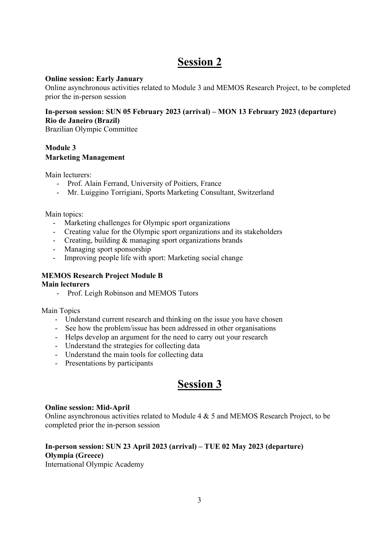## **Session 2**

#### **Online session: Early January**

Online asynchronous activities related to Module 3 and MEMOS Research Project, to be completed prior the in-person session

#### **In-person session: SUN 05 February 2023 (arrival) – MON 13 February 2023 (departure) Rio de Janeiro (Brazil)**

Brazilian Olympic Committee

#### **Module 3 Marketing Management**

Main lecturers:

- Prof. Alain Ferrand, University of Poitiers, France
- Mr. Luiggino Torrigiani, Sports Marketing Consultant, Switzerland

Main topics:

- Marketing challenges for Olympic sport organizations
- Creating value for the Olympic sport organizations and its stakeholders
- Creating, building & managing sport organizations brands
- Managing sport sponsorship
- Improving people life with sport: Marketing social change

#### **MEMOS Research Project Module B**

#### **Main lecturers**

- Prof. Leigh Robinson and MEMOS Tutors

Main Topics

- Understand current research and thinking on the issue you have chosen
- See how the problem/issue has been addressed in other organisations
- Helps develop an argument for the need to carry out your research
- Understand the strategies for collecting data
- Understand the main tools for collecting data
- Presentations by participants

## **Session 3**

#### **Online session: Mid-April**

Online asynchronous activities related to Module 4 & 5 and MEMOS Research Project, to be completed prior the in-person session

### **In-person session: SUN 23 April 2023 (arrival) – TUE 02 May 2023 (departure) Olympia (Greece)**

International Olympic Academy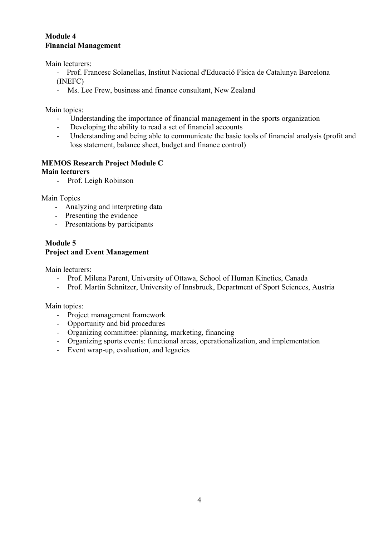#### **Module 4 Financial Management**

Main lecturers:

- Prof. Francesc Solanellas, Institut Nacional d'Educació Física de Catalunya Barcelona (INEFC)
- Ms. Lee Frew, business and finance consultant, New Zealand

Main topics:

- Understanding the importance of financial management in the sports organization
- Developing the ability to read a set of financial accounts
- Understanding and being able to communicate the basic tools of financial analysis (profit and loss statement, balance sheet, budget and finance control)

### **MEMOS Research Project Module C**

#### **Main lecturers**

- Prof. Leigh Robinson

Main Topics

- Analyzing and interpreting data
- Presenting the evidence
- Presentations by participants

#### **Module 5 Project and Event Management**

Main lecturers:

- Prof. Milena Parent, University of Ottawa, School of Human Kinetics, Canada
- Prof. Martin Schnitzer, University of Innsbruck, Department of Sport Sciences, Austria

Main topics:

- Project management framework
- Opportunity and bid procedures
- Organizing committee: planning, marketing, financing
- Organizing sports events: functional areas, operationalization, and implementation
- Event wrap-up, evaluation, and legacies